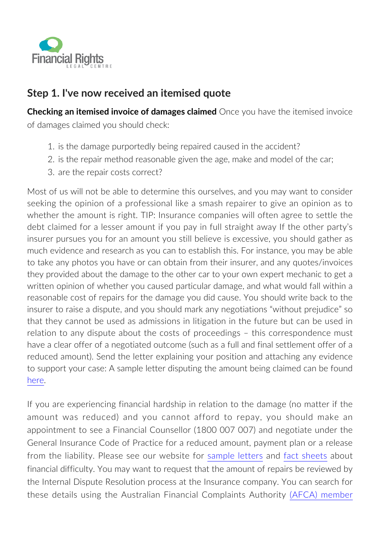

## **Step 1. I've now received an itemised quote**

**Checking an itemised invoice of damages claimed** Once you have the itemised invoice of damages claimed you should check:

- 1. is the damage purportedly being repaired caused in the accident?
- 2. is the repair method reasonable given the age, make and model of the car;
- 3. are the repair costs correct?

Most of us will not be able to determine this ourselves, and you may want to consider seeking the opinion of a professional like a smash repairer to give an opinion as to whether the amount is right. TIP: Insurance companies will often agree to settle the debt claimed for a lesser amount if you pay in full straight away If the other party's insurer pursues you for an amount you still believe is excessive, you should gather as much evidence and research as you can to establish this. For instance, you may be able to take any photos you have or can obtain from their insurer, and any quotes/invoices they provided about the damage to the other car to your own expert mechanic to get a written opinion of whether you caused particular damage, and what would fall within a reasonable cost of repairs for the damage you did cause. You should write back to the insurer to raise a dispute, and you should mark any negotiations "without prejudice" so that they cannot be used as admissions in litigation in the future but can be used in relation to any dispute about the costs of proceedings – this correspondence must have a clear offer of a negotiated outcome (such as a full and final settlement offer of a reduced amount). Send the letter explaining your position and attaching any evidence to support your case: A sample letter disputing the amount being claimed can be found [here.](http://insurancelaw.org.au/sample-letter/disputing-amount-claimed/)

If you are experiencing financial hardship in relation to the damage (no matter if the amount was reduced) and you cannot afford to repay, you should make an appointment to see a Financial Counsellor (1800 007 007) and negotiate under the General Insurance Code of Practice for a reduced amount, payment plan or a release from the liability. Please see our website for [sample letters](https://mva.financialrights.org.au/sample-letter/) and [fact sheets](https://mva.financialrights.org.au/factsheets/) about financial difficulty. You may want to request that the amount of repairs be reviewed by the Internal Dispute Resolution process at the Insurance company. You can search for these details using the Australian Financial Complaints Authority [\(AFCA\) member](http://www.afca.org.au/find-a-financial-firm)